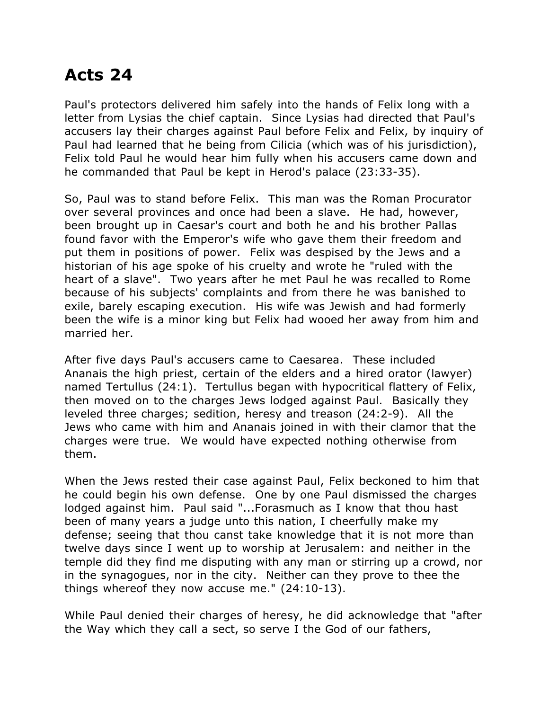## **Acts 24**

Paul's protectors delivered him safely into the hands of Felix long with a letter from Lysias the chief captain. Since Lysias had directed that Paul's accusers lay their charges against Paul before Felix and Felix, by inquiry of Paul had learned that he being from Cilicia (which was of his jurisdiction), Felix told Paul he would hear him fully when his accusers came down and he commanded that Paul be kept in Herod's palace (23:33-35).

So, Paul was to stand before Felix. This man was the Roman Procurator over several provinces and once had been a slave. He had, however, been brought up in Caesar's court and both he and his brother Pallas found favor with the Emperor's wife who gave them their freedom and put them in positions of power. Felix was despised by the Jews and a historian of his age spoke of his cruelty and wrote he "ruled with the heart of a slave". Two years after he met Paul he was recalled to Rome because of his subjects' complaints and from there he was banished to exile, barely escaping execution. His wife was Jewish and had formerly been the wife is a minor king but Felix had wooed her away from him and married her.

After five days Paul's accusers came to Caesarea. These included Ananais the high priest, certain of the elders and a hired orator (lawyer) named Tertullus (24:1). Tertullus began with hypocritical flattery of Felix, then moved on to the charges Jews lodged against Paul. Basically they leveled three charges; sedition, heresy and treason (24:2-9). All the Jews who came with him and Ananais joined in with their clamor that the charges were true. We would have expected nothing otherwise from them.

When the Jews rested their case against Paul, Felix beckoned to him that he could begin his own defense. One by one Paul dismissed the charges lodged against him. Paul said "...Forasmuch as I know that thou hast been of many years a judge unto this nation, I cheerfully make my defense; seeing that thou canst take knowledge that it is not more than twelve days since I went up to worship at Jerusalem: and neither in the temple did they find me disputing with any man or stirring up a crowd, nor in the synagogues, nor in the city. Neither can they prove to thee the things whereof they now accuse me." (24:10-13).

While Paul denied their charges of heresy, he did acknowledge that "after the Way which they call a sect, so serve I the God of our fathers,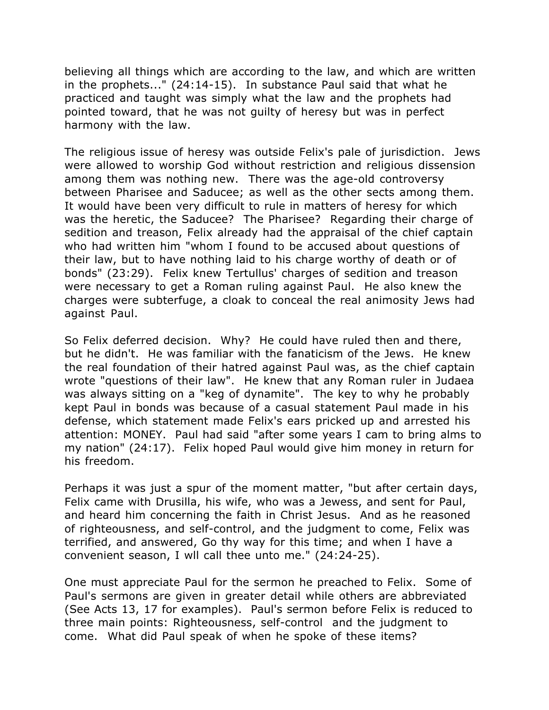believing all things which are according to the law, and which are written in the prophets..." (24:14-15). In substance Paul said that what he practiced and taught was simply what the law and the prophets had pointed toward, that he was not guilty of heresy but was in perfect harmony with the law.

The religious issue of heresy was outside Felix's pale of jurisdiction. Jews were allowed to worship God without restriction and religious dissension among them was nothing new. There was the age-old controversy between Pharisee and Saducee; as well as the other sects among them. It would have been very difficult to rule in matters of heresy for which was the heretic, the Saducee? The Pharisee? Regarding their charge of sedition and treason, Felix already had the appraisal of the chief captain who had written him "whom I found to be accused about questions of their law, but to have nothing laid to his charge worthy of death or of bonds" (23:29). Felix knew Tertullus' charges of sedition and treason were necessary to get a Roman ruling against Paul. He also knew the charges were subterfuge, a cloak to conceal the real animosity Jews had against Paul.

So Felix deferred decision. Why? He could have ruled then and there, but he didn't. He was familiar with the fanaticism of the Jews. He knew the real foundation of their hatred against Paul was, as the chief captain wrote "questions of their law". He knew that any Roman ruler in Judaea was always sitting on a "keg of dynamite". The key to why he probably kept Paul in bonds was because of a casual statement Paul made in his defense, which statement made Felix's ears pricked up and arrested his attention: MONEY. Paul had said "after some years I cam to bring alms to my nation" (24:17). Felix hoped Paul would give him money in return for his freedom.

Perhaps it was just a spur of the moment matter, "but after certain days, Felix came with Drusilla, his wife, who was a Jewess, and sent for Paul, and heard him concerning the faith in Christ Jesus. And as he reasoned of righteousness, and self-control, and the judgment to come, Felix was terrified, and answered, Go thy way for this time; and when I have a convenient season, I wll call thee unto me." (24:24-25).

One must appreciate Paul for the sermon he preached to Felix. Some of Paul's sermons are given in greater detail while others are abbreviated (See Acts 13, 17 for examples). Paul's sermon before Felix is reduced to three main points: Righteousness, self-control and the judgment to come. What did Paul speak of when he spoke of these items?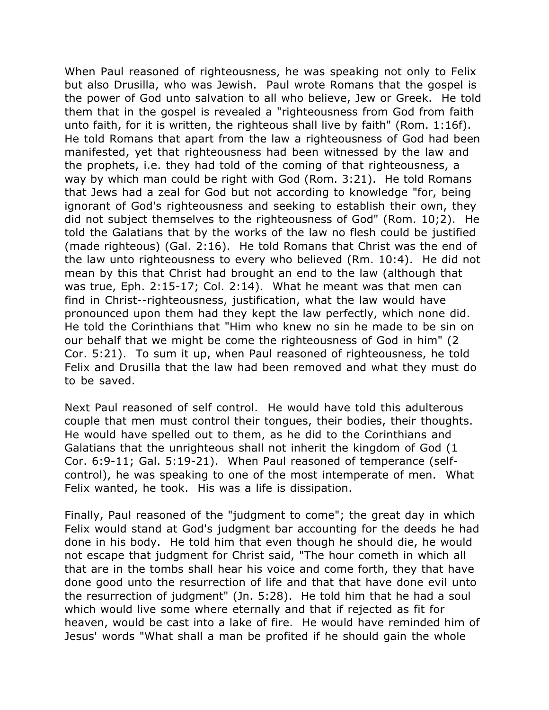When Paul reasoned of righteousness, he was speaking not only to Felix but also Drusilla, who was Jewish. Paul wrote Romans that the gospel is the power of God unto salvation to all who believe, Jew or Greek. He told them that in the gospel is revealed a "righteousness from God from faith unto faith, for it is written, the righteous shall live by faith" (Rom. 1:16f). He told Romans that apart from the law a righteousness of God had been manifested, yet that righteousness had been witnessed by the law and the prophets, i.e. they had told of the coming of that righteousness, a way by which man could be right with God (Rom. 3:21). He told Romans that Jews had a zeal for God but not according to knowledge "for, being ignorant of God's righteousness and seeking to establish their own, they did not subject themselves to the righteousness of God" (Rom. 10;2). He told the Galatians that by the works of the law no flesh could be justified (made righteous) (Gal. 2:16). He told Romans that Christ was the end of the law unto righteousness to every who believed (Rm. 10:4). He did not mean by this that Christ had brought an end to the law (although that was true, Eph. 2:15-17; Col. 2:14). What he meant was that men can find in Christ--righteousness, justification, what the law would have pronounced upon them had they kept the law perfectly, which none did. He told the Corinthians that "Him who knew no sin he made to be sin on our behalf that we might be come the righteousness of God in him" (2 Cor. 5:21). To sum it up, when Paul reasoned of righteousness, he told Felix and Drusilla that the law had been removed and what they must do to be saved.

Next Paul reasoned of self control. He would have told this adulterous couple that men must control their tongues, their bodies, their thoughts. He would have spelled out to them, as he did to the Corinthians and Galatians that the unrighteous shall not inherit the kingdom of God (1 Cor. 6:9-11; Gal. 5:19-21). When Paul reasoned of temperance (selfcontrol), he was speaking to one of the most intemperate of men. What Felix wanted, he took. His was a life is dissipation.

Finally, Paul reasoned of the "judgment to come"; the great day in which Felix would stand at God's judgment bar accounting for the deeds he had done in his body. He told him that even though he should die, he would not escape that judgment for Christ said, "The hour cometh in which all that are in the tombs shall hear his voice and come forth, they that have done good unto the resurrection of life and that that have done evil unto the resurrection of judgment" (Jn. 5:28). He told him that he had a soul which would live some where eternally and that if rejected as fit for heaven, would be cast into a lake of fire. He would have reminded him of Jesus' words "What shall a man be profited if he should gain the whole